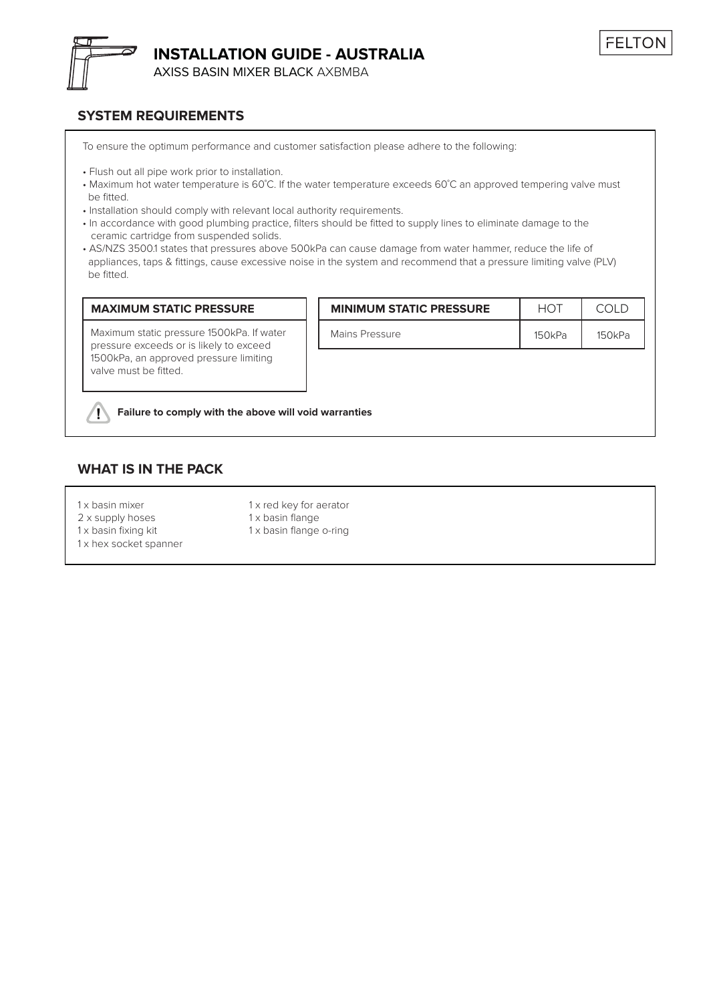

**INSTALLATION GUIDE - AUSTRALIA**

AXISS BASIN MIXER BLACK AXBMBA

### **SYSTEM REQUIREMENTS**

To ensure the optimum performance and customer satisfaction please adhere to the following:

- Flush out all pipe work prior to installation.
- Maximum hot water temperature is 60˚C. If the water temperature exceeds 60˚C an approved tempering valve must be fitted.
- Installation should comply with relevant local authority requirements.
- In accordance with good plumbing practice, filters should be fitted to supply lines to eliminate damage to the ceramic cartridge from suspended solids.
- AS/NZS 3500.1 states that pressures above 500kPa can cause damage from water hammer, reduce the life of appliances, taps & fittings, cause excessive noise in the system and recommend that a pressure limiting valve (PLV) be fitted.

### **MAXIMUM STATIC PRESSURE MINIMUM STATIC PRESSURE**

Maximum static pressure 1500kPa. If water pressure exceeds or is likely to exceed 1500kPa, an approved pressure limiting valve must be fitted.

| <b>MINIMUM STATIC PRESSURE</b> |        |        |
|--------------------------------|--------|--------|
| Mains Pressure                 | 150kPa | 150kPa |

#### **Failure to comply with the above will void warranties**  $\sqrt{N}$

### **WHAT IS IN THE PACK**

- 
- 
- 1 x hex socket spanner

1 x basin mixer 1 x red key for aerator 2 x supply hoses 1 x basin flange 1 x basin fixing kit 1 x basin flange o-ring